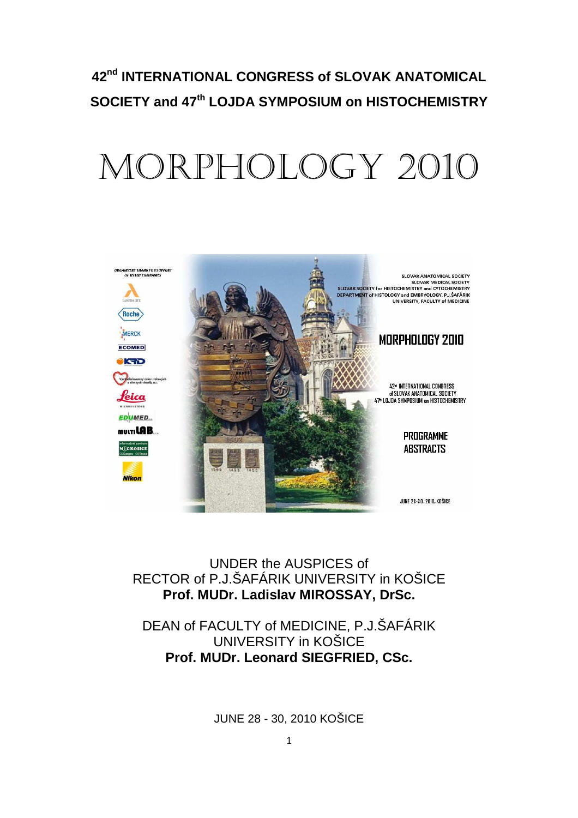# **42nd INTERNATIONAL CONGRESS of SLOVAK ANATOMICAL SOCIETY and 47th LOJDA SYMPOSIUM on HISTOCHEMISTRY**

# MORPHOLOGY 2010



UNDER the AUSPICES of RECTOR of P.J.ŠAFÁRIK UNIVERSITY in KOŠICE **Prof. MUDr. Ladislav MIROSSAY, DrSc.** 

DEAN of FACULTY of MEDICINE, P.J.ŠAFÁRIK UNIVERSITY in KOŠICE **Prof. MUDr. Leonard SIEGFRIED, CSc.** 

JUNE 28 - 30, 2010 KOŠICE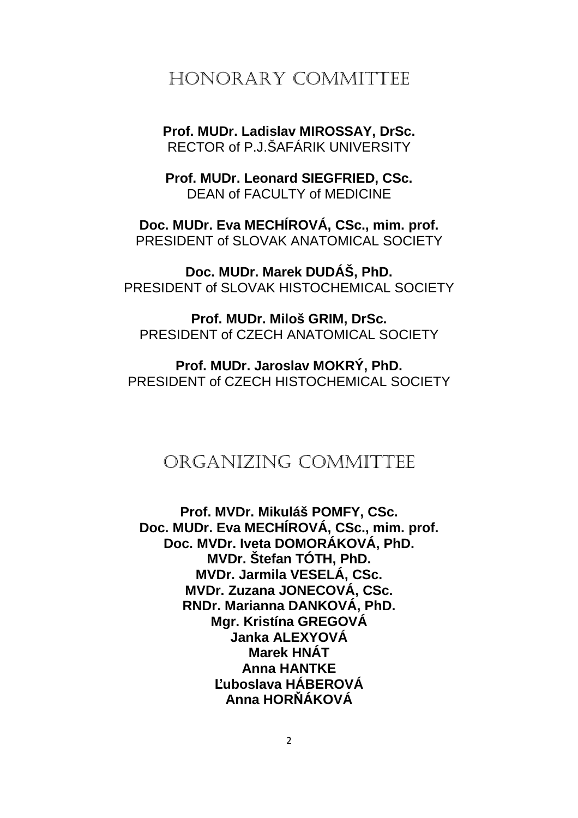# HONORARY COMMITTEE

**Prof. MUDr. Ladislav MIROSSAY, DrSc.**  RECTOR of P.J.ŠAFÁRIK UNIVERSITY

**Prof. MUDr. Leonard SIEGFRIED, CSc.**  DEAN of FACULTY of MEDICINE

**Doc. MUDr. Eva MECHÍROVÁ, CSc., mim. prof.**  PRESIDENT of SLOVAK ANATOMICAL SOCIETY

**Doc. MUDr. Marek DUDÁŠ, PhD.**  PRESIDENT of SLOVAK HISTOCHEMICAL SOCIETY

**Prof. MUDr. Miloš GRIM, DrSc.**  PRESIDENT of CZECH ANATOMICAL SOCIETY

**Prof. MUDr. Jaroslav MOKRÝ, PhD.**  PRESIDENT of CZECH HISTOCHEMICAL SOCIETY

# ORGANIZING COMMITTEE

**Prof. MVDr. Mikuláš POMFY, CSc. Doc. MUDr. Eva MECHÍROVÁ, CSc., mim. prof. Doc. MVDr. Iveta DOMORÁKOVÁ, PhD. MVDr. Štefan TÓTH, PhD. MVDr. Jarmila VESELÁ, CSc. MVDr. Zuzana JONECOVÁ, CSc. RNDr. Marianna DANKOVÁ, PhD. Mgr. Kristína GREGOVÁ Janka ALEXYOVÁ Marek HNÁT Anna HANTKE Ľuboslava HÁBEROVÁ Anna HORŇÁKOVÁ**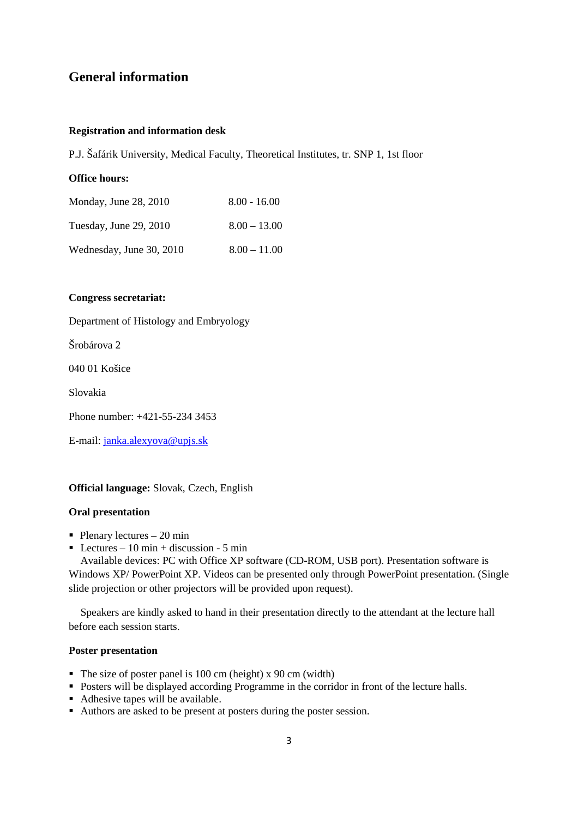# **General information**

### **Registration and information desk**

P.J. Šafárik University, Medical Faculty, Theoretical Institutes, tr. SNP 1, 1st floor

## **Office hours:**

| Monday, June 28, 2010    | $8.00 - 16.00$ |
|--------------------------|----------------|
| Tuesday, June 29, 2010   | $8.00 - 13.00$ |
| Wednesday, June 30, 2010 | $8.00 - 11.00$ |

#### **Congress secretariat:**

Department of Histology and Embryology

Šrobárova 2

040 01 Košice

Slovakia

Phone number: +421-55-234 3453

E-mail: janka.alexyova@upjs.sk

## **Official language:** Slovak, Czech, English

#### **Oral presentation**

- $\blacksquare$  Plenary lectures 20 min
- Lectures 10 min + discussion 5 min

Available devices: PC with Office XP software (CD-ROM, USB port). Presentation software is Windows XP/ PowerPoint XP. Videos can be presented only through PowerPoint presentation. (Single slide projection or other projectors will be provided upon request).

Speakers are kindly asked to hand in their presentation directly to the attendant at the lecture hall before each session starts.

## **Poster presentation**

- The size of poster panel is 100 cm (height) x 90 cm (width)
- Posters will be displayed according Programme in the corridor in front of the lecture halls.
- Adhesive tapes will be available.
- Authors are asked to be present at posters during the poster session.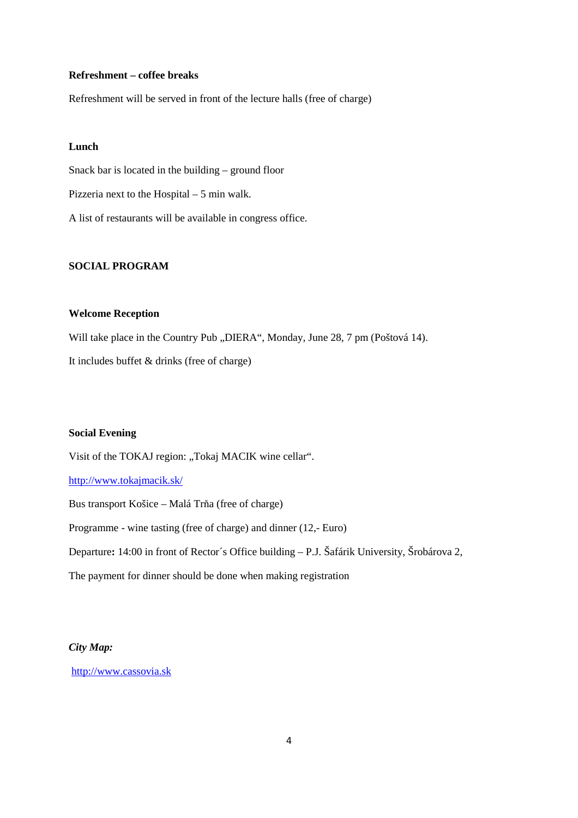## **Refreshment – coffee breaks**

Refreshment will be served in front of the lecture halls (free of charge)

## **Lunch**

Snack bar is located in the building – ground floor Pizzeria next to the Hospital – 5 min walk. A list of restaurants will be available in congress office.

## **SOCIAL PROGRAM**

## **Welcome Reception**

Will take place in the Country Pub "DIERA", Monday, June 28, 7 pm (Poštová 14).

It includes buffet & drinks (free of charge)

## **Social Evening**

Visit of the TOKAJ region: "Tokaj MACIK wine cellar".

http://www.tokajmacik.sk/

Bus transport Košice – Malá Trňa (free of charge)

Programme - wine tasting (free of charge) and dinner (12,- Euro)

Departure**:** 14:00 in front of Rector´s Office building – P.J. Šafárik University, Šrobárova 2,

The payment for dinner should be done when making registration

## *City Map:*

http://www.cassovia.sk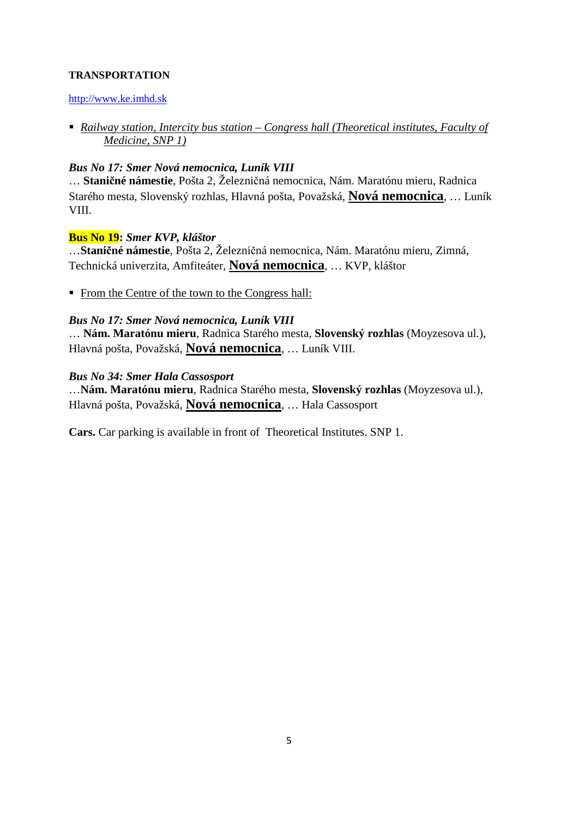# **TRANSPORTATION**

## http://www.ke.imhd.sk

 *Railway station, Intercity bus station – Congress hall (Theoretical institutes, Faculty of Medicine, SNP 1)* 

## *Bus No 17: Smer Nová nemocnica, Luník VIII*

… **Staničné námestie**, Pošta 2, Železničná nemocnica, Nám. Maratónu mieru, Radnica Starého mesta, Slovenský rozhlas, Hlavná pošta, Považská, **Nová nemocnica**, … Luník VIII.

## **Bus No 19:** *Smer KVP, kláštor*

…**Staničné námestie**, Pošta 2, Železničná nemocnica, Nám. Maratónu mieru, Zimná, Technická univerzita, Amfiteáter, **Nová nemocnica**, … KVP, kláštor

From the Centre of the town to the Congress hall:

## *Bus No 17: Smer Nová nemocnica, Luník VIII*

… **Nám. Maratónu mieru**, Radnica Starého mesta, **Slovenský rozhlas** (Moyzesova ul.), Hlavná pošta, Považská, **Nová nemocnica**, … Luník VIII.

## *Bus No 34: Smer Hala Cassosport*

…**Nám. Maratónu mieru**, Radnica Starého mesta, **Slovenský rozhlas** (Moyzesova ul.), Hlavná pošta, Považská, **Nová nemocnica**, … Hala Cassosport

**Cars.** Car parking is available in front of Theoretical Institutes. SNP 1.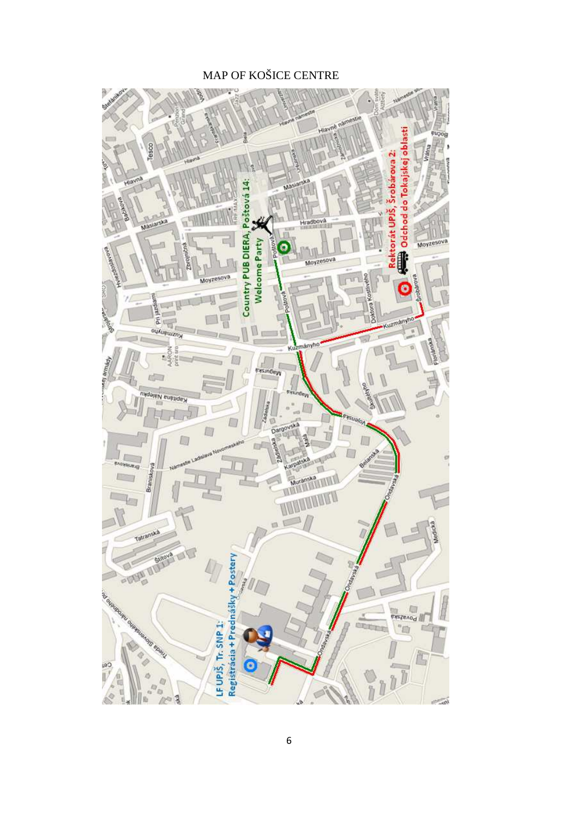# MAP OF KOŠICE CENTRE

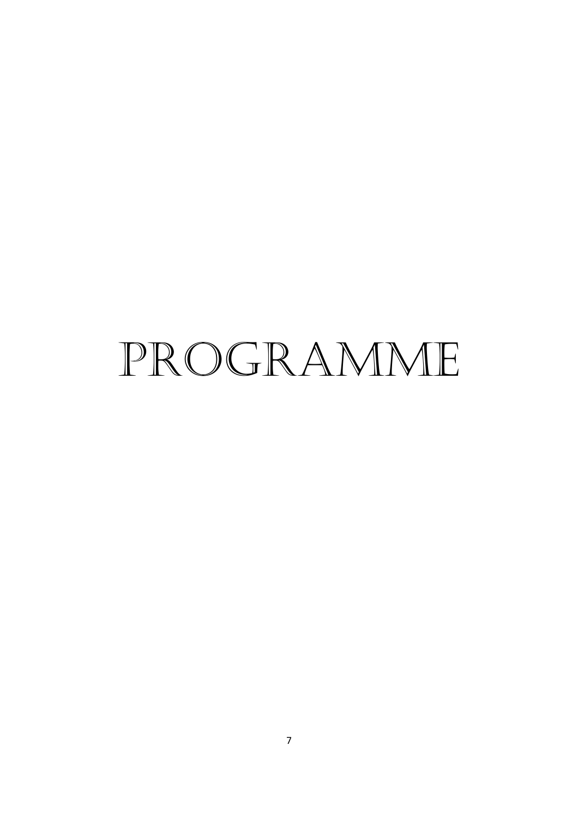# PROGRAMME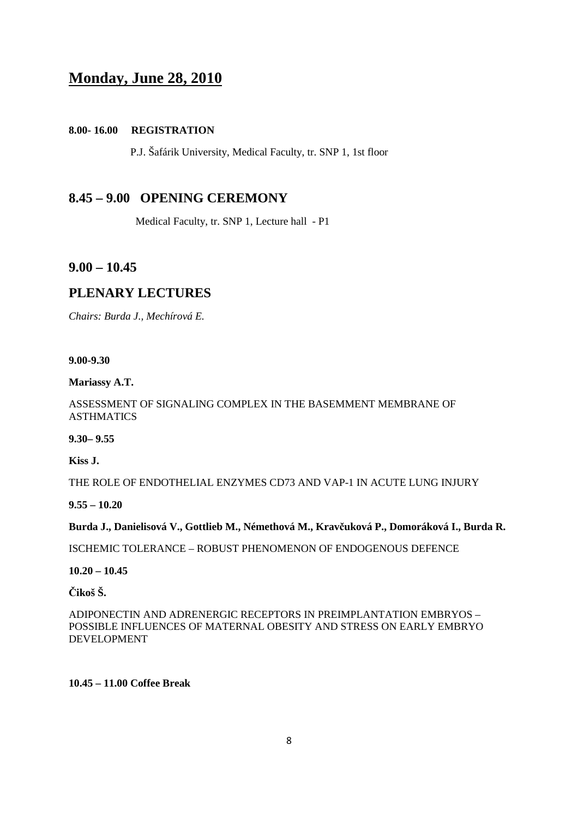# **Monday, June 28, 2010**

## **8.00- 16.00 REGISTRATION**

P.J. Šafárik University, Medical Faculty, tr. SNP 1, 1st floor

# **8.45 – 9.00****OPENING CEREMONY**

Medical Faculty, tr. SNP 1, Lecture hall - P1

# **9.00 – 10.45**

# **PLENARY LECTURES**

*Chairs: Burda J., Mechírová E.* 

#### **9.00-9.30**

**Mariassy A.T.** 

## ASSESSMENT OF SIGNALING COMPLEX IN THE BASEMMENT MEMBRANE OF ASTHMATICS

**9.30– 9.55** 

**Kiss J.** 

THE ROLE OF ENDOTHELIAL ENZYMES CD73 AND VAP-1 IN ACUTE LUNG INJURY

**9.55 – 10.20** 

## **Burda J., Danielisová V., Gottlieb M., Némethová M., Kravčuková P., Domoráková I., Burda R.**

ISCHEMIC TOLERANCE – ROBUST PHENOMENON OF ENDOGENOUS DEFENCE

**10.20 – 10.45** 

**Čikoš Š.** 

ADIPONECTIN AND ADRENERGIC RECEPTORS IN PREIMPLANTATION EMBRYOS – POSSIBLE INFLUENCES OF MATERNAL OBESITY AND STRESS ON EARLY EMBRYO DEVELOPMENT

## **10.45 – 11.00 Coffee Break**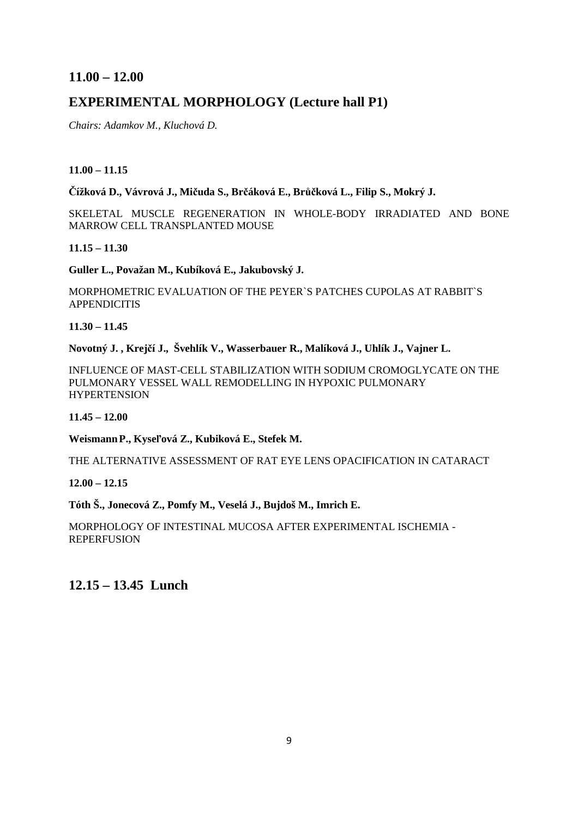# **11.00 – 12.00**

# **EXPERIMENTAL MORPHOLOGY (Lecture hall P1)**

*Chairs: Adamkov M., Kluchová D.* 

## **11.00 – 11.15**

**Čížková D., Vávrová J., Mičuda S., Brčáková E., Brůčková L., Filip S., Mokrý J.** 

SKELETAL MUSCLE REGENERATION IN WHOLE-BODY IRRADIATED AND BONE MARROW CELL TRANSPLANTED MOUSE

**11.15 – 11.30** 

**Guller L., Považan M., Kubíková E., Jakubovský J.** 

MORPHOMETRIC EVALUATION OF THE PEYER`S PATCHES CUPOLAS AT RABBIT`S APPENDICITIS

**11.30 – 11.45** 

**Novotný J. , Krejčí J., Švehlík V., Wasserbauer R., Malíková J., Uhlík J., Vajner L.** 

INFLUENCE OF MAST-CELL STABILIZATION WITH SODIUM CROMOGLYCATE ON THE PULMONARY VESSEL WALL REMODELLING IN HYPOXIC PULMONARY HYPERTENSION

**11.45 – 12.00** 

**WeismannP., Kyseľová Z., Kubiková E., Stefek M.**

THE ALTERNATIVE ASSESSMENT OF RAT EYE LENS OPACIFICATION IN CATARACT

**12.00 – 12.15** 

**Tóth Š., Jonecová Z., Pomfy M., Veselá J., Bujdoš M., Imrich E.** 

MORPHOLOGY OF INTESTINAL MUCOSA AFTER EXPERIMENTAL ISCHEMIA - REPERFUSION

**12.15 – 13.45 Lunch**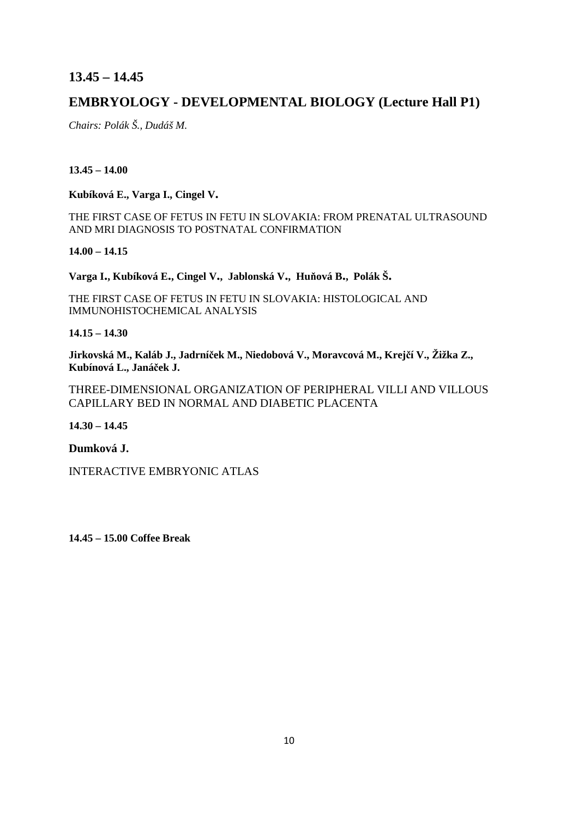# **13.45 – 14.45**

# **EMBRYOLOGY - DEVELOPMENTAL BIOLOGY (Lecture Hall P1)**

*Chairs: Polák Š., Dudáš M.* 

## **13.45 – 14.00**

**Kubíková E., Varga I., Cingel V.**

THE FIRST CASE OF FETUS IN FETU IN SLOVAKIA: FROM PRENATAL ULTRASOUND AND MRI DIAGNOSIS TO POSTNATAL CONFIRMATION

**14.00 – 14.15** 

**Varga I., Kubíková E., Cingel V., Jablonská V., Huňová B., Polák Š.**

THE FIRST CASE OF FETUS IN FETU IN SLOVAKIA: HISTOLOGICAL AND IMMUNOHISTOCHEMICAL ANALYSIS

**14.15 – 14.30** 

**Jirkovská M., Kaláb J., Jadrníček M., Niedobová V., Moravcová M., Krejčí V., Žižka Z., Kubínová L., Janáček J.**

THREE-DIMENSIONAL ORGANIZATION OF PERIPHERAL VILLI AND VILLOUS CAPILLARY BED IN NORMAL AND DIABETIC PLACENTA

**14.30 – 14.45** 

**Dumková J.** 

INTERACTIVE EMBRYONIC ATLAS

**14.45 – 15.00 Coffee Break**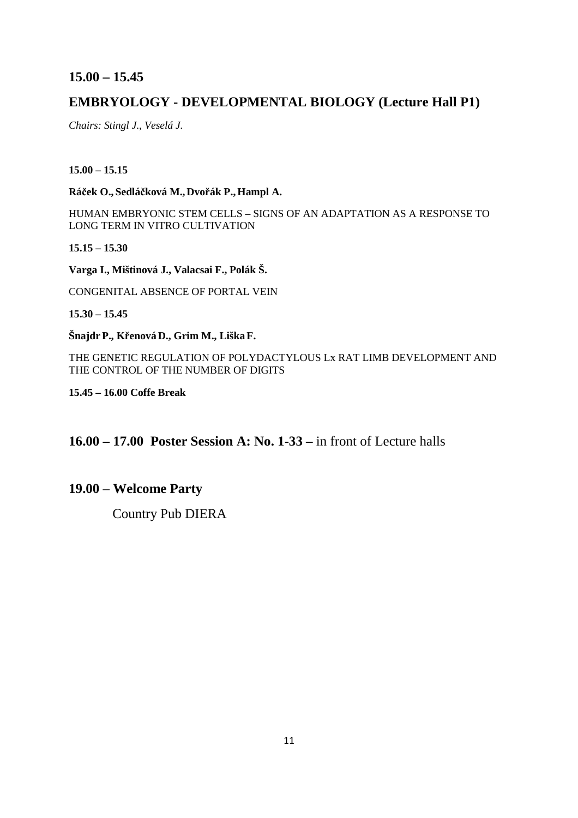# **15.00 – 15.45**

# **EMBRYOLOGY - DEVELOPMENTAL BIOLOGY (Lecture Hall P1)**

*Chairs: Stingl J., Veselá J.* 

## **15.00 – 15.15**

**Ráček O., Sedláčková M., Dvořák P.,Hampl A.**

HUMAN EMBRYONIC STEM CELLS – SIGNS OF AN ADAPTATION AS A RESPONSE TO LONG TERM IN VITRO CULTIVATION

**15.15 – 15.30** 

**Varga I., Mištinová J., Valacsai F., Polák Š.** 

CONGENITAL ABSENCE OF PORTAL VEIN

**15.30 – 15.45** 

**Šnajdr P., Křenová D., Grim M., LiškaF.** 

THE GENETIC REGULATION OF POLYDACTYLOUS Lx RAT LIMB DEVELOPMENT AND THE CONTROL OF THE NUMBER OF DIGITS

**15.45 – 16.00 Coffe Break** 

**16.00 – 17.00 Poster Session A: No. 1-33 –** in front of Lecture halls

# **19.00 – Welcome Party**

Country Pub DIERA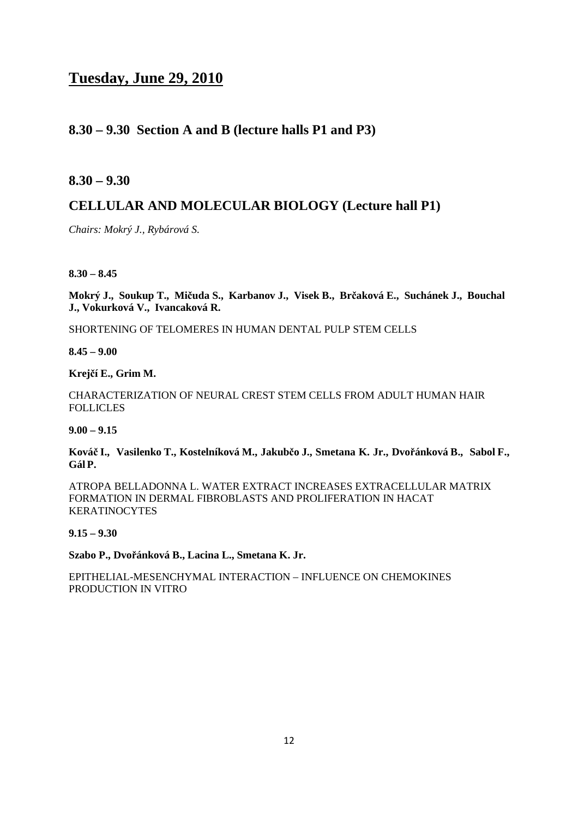# **Tuesday, June 29, 2010**

# **8.30 – 9.30 Section A and B (lecture halls P1 and P3)**

**8.30 – 9.30** 

# **CELLULAR AND MOLECULAR BIOLOGY (Lecture hall P1)**

*Chairs: Mokrý J., Rybárová S.*

**8.30 – 8.45** 

**Mokrý J., Soukup T., Mičuda S., Karbanov J., Visek B., Brčaková E., Suchánek J., Bouchal J., Vokurková V., Ivancaková R.** 

SHORTENING OF TELOMERES IN HUMAN DENTAL PULP STEM CELLS

**8.45 – 9.00** 

**Krejčí E., Grim M.** 

CHARACTERIZATION OF NEURAL CREST STEM CELLS FROM ADULT HUMAN HAIR FOLLICLES

**9.00 – 9.15** 

**Kováč I., Vasilenko T., Kostelníková M., Jakubčo J., Smetana K. Jr., Dvořánková B., Sabol F., Gál P.** 

ATROPA BELLADONNA L. WATER EXTRACT INCREASES EXTRACELLULAR MATRIX FORMATION IN DERMAL FIBROBLASTS AND PROLIFERATION IN HACAT KERATINOCYTES

**9.15 – 9.30** 

**Szabo P., Dvořánková B., Lacina L., Smetana K. Jr.** 

EPITHELIAL-MESENCHYMAL INTERACTION – INFLUENCE ON CHEMOKINES PRODUCTION IN VITRO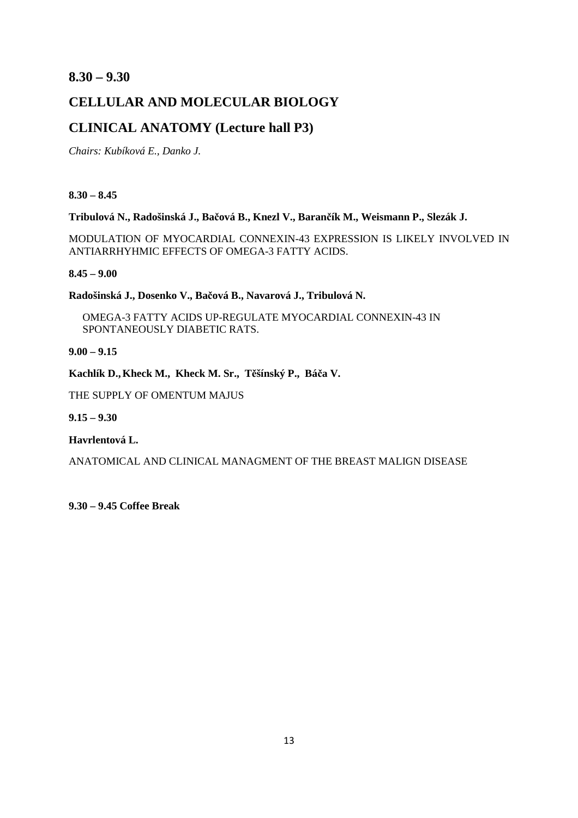# **8.30 – 9.30**

# **CELLULAR AND MOLECULAR BIOLOGY**

# **CLINICAL ANATOMY (Lecture hall P3)**

*Chairs: Kubíková E., Danko J.* 

**8.30 – 8.45** 

**Tribulová N., Radošinská J., Bačová B., Knezl V., Barančík M., Weismann P., Slezák J.** 

MODULATION OF MYOCARDIAL CONNEXIN-43 EXPRESSION IS LIKELY INVOLVED IN ANTIARRHYHMIC EFFECTS OF OMEGA-3 FATTY ACIDS.

**8.45 – 9.00** 

**Radošinská J., Dosenko V., Bačová B., Navarová J., Tribulová N.** 

OMEGA-3 FATTY ACIDS UP-REGULATE MYOCARDIAL CONNEXIN-43 IN SPONTANEOUSLY DIABETIC RATS.

**9.00 – 9.15** 

**Kachlík D.,Kheck M., Kheck M. Sr., Těšínský P., Báča V.**

THE SUPPLY OF OMENTUM MAJUS

**9.15 – 9.30** 

**Havrlentová L.** 

ANATOMICAL AND CLINICAL MANAGMENT OF THE BREAST MALIGN DISEASE

**9.30 – 9.45 Coffee Break**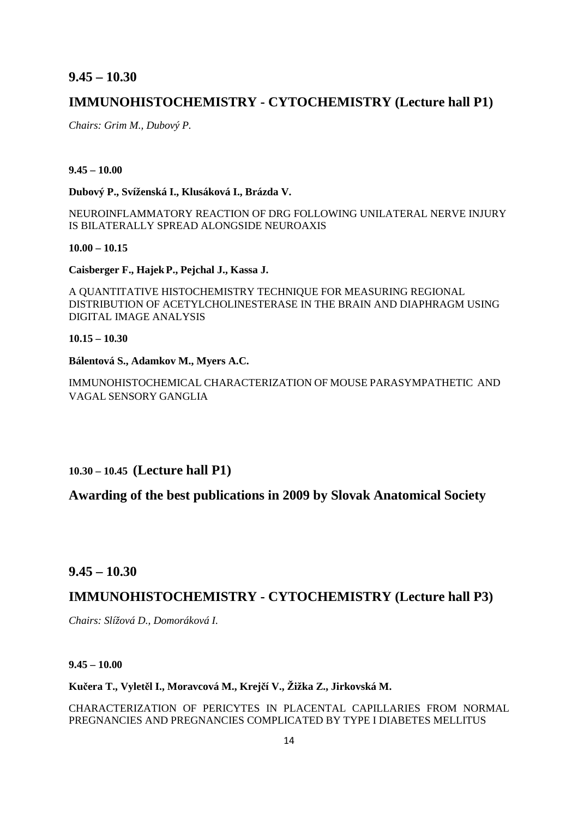## **9.45 – 10.30**

# **IMMUNOHISTOCHEMISTRY - CYTOCHEMISTRY (Lecture hall P1)**

*Chairs: Grim M., Dubový P.*

### **9.45 – 10.00**

**Dubový P., Svíženská I., Klusáková I., Brázda V.** 

NEUROINFLAMMATORY REACTION OF DRG FOLLOWING UNILATERAL NERVE INJURY IS BILATERALLY SPREAD ALONGSIDE NEUROAXIS

**10.00 – 10.15** 

**Caisberger F., HajekP., Pejchal J., Kassa J.** 

A QUANTITATIVE HISTOCHEMISTRY TECHNIQUE FOR MEASURING REGIONAL DISTRIBUTION OF ACETYLCHOLINESTERASE IN THE BRAIN AND DIAPHRAGM USING DIGITAL IMAGE ANALYSIS

**10.15 – 10.30** 

## **Bálentová S., Adamkov M., Myers A.C.**

IMMUNOHISTOCHEMICAL CHARACTERIZATION OF MOUSE PARASYMPATHETIC AND VAGAL SENSORY GANGLIA

**10.30 – 10.45 (Lecture hall P1)** 

**Awarding of the best publications in 2009 by Slovak Anatomical Society** 

**9.45 – 10.30** 

# **IMMUNOHISTOCHEMISTRY - CYTOCHEMISTRY (Lecture hall P3)**

*Chairs: Slížová D., Domoráková I.* 

**9.45 – 10.00** 

**Kučera T., Vyletěl I., Moravcová M., Krejčí V., Žižka Z., Jirkovská M.** 

CHARACTERIZATION OF PERICYTES IN PLACENTAL CAPILLARIES FROM NORMAL PREGNANCIES AND PREGNANCIES COMPLICATED BY TYPE I DIABETES MELLITUS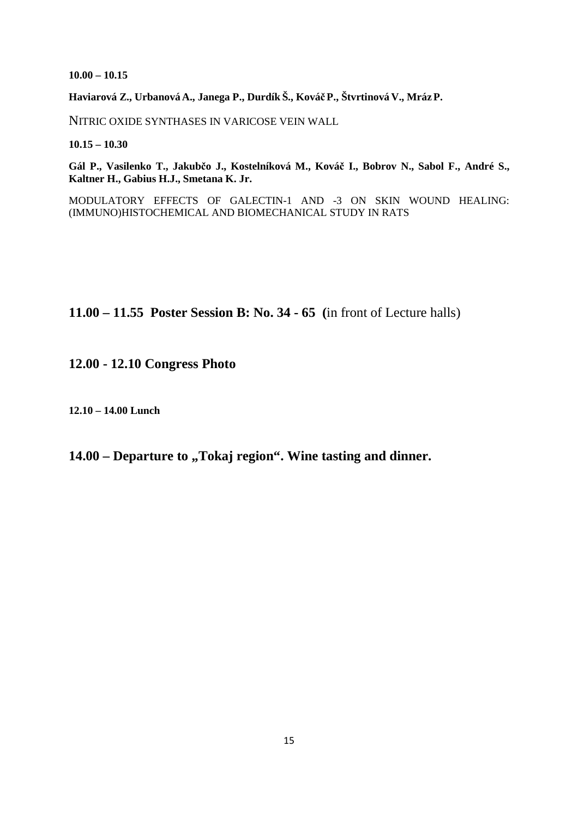**10.00 – 10.15** 

**Haviarová Z., Urbanová A., Janega P., Durdík Š., KováčP., Štvrtinová V., MrázP.** 

NITRIC OXIDE SYNTHASES IN VARICOSE VEIN WALL

**10.15 – 10.30** 

**Gál P., Vasilenko T., Jakubčo J., Kostelníková M., Kováč I., Bobrov N., Sabol F., André S., Kaltner H., Gabius H.J., Smetana K. Jr.** 

MODULATORY EFFECTS OF GALECTIN-1 AND -3 ON SKIN WOUND HEALING: (IMMUNO)HISTOCHEMICAL AND BIOMECHANICAL STUDY IN RATS

# **11.00 – 11.55 Poster Session B: No. 34 - 65 (**in front of Lecture halls)

**12.00 - 12.10 Congress Photo** 

**12.10 – 14.00 Lunch** 

# **14.00 – Departure to , Tokaj region". Wine tasting and dinner.**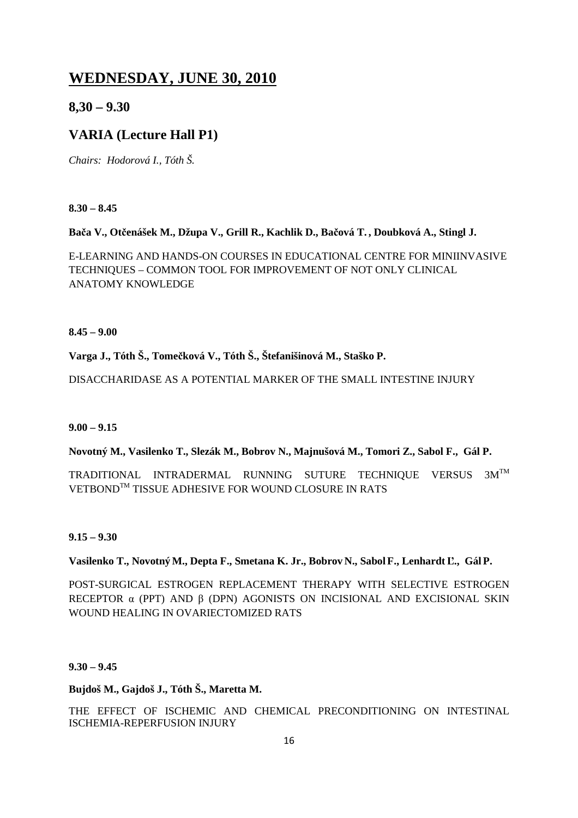# **WEDNESDAY, JUNE 30, 2010**

# **8,30 – 9.30**

# **VARIA (Lecture Hall P1)**

*Chairs: Hodorová I., Tóth Š.*

**8.30 – 8.45** 

# **Bača V., Otčenášek M., Džupa V., Grill R., Kachlik D., Bačová T. , Doubková A., Stingl J.**

E-LEARNING AND HANDS-ON COURSES IN EDUCATIONAL CENTRE FOR MINIINVASIVE TECHNIQUES – COMMON TOOL FOR IMPROVEMENT OF NOT ONLY CLINICAL ANATOMY KNOWLEDGE

**8.45 – 9.00** 

**Varga J., Tóth Š., Tomečková V., Tóth Š., Štefanišinová M., Staško P.** 

DISACCHARIDASE AS A POTENTIAL MARKER OF THE SMALL INTESTINE INJURY

## **9.00 – 9.15**

**Novotný M., Vasilenko T., Slezák M., Bobrov N., Majnušová M., Tomori Z., Sabol F., Gál P.** 

TRADITIONAL INTRADERMAL RUNNING SUTURE TECHNIQUE VERSUS 3MTM VETBONDTM TISSUE ADHESIVE FOR WOUND CLOSURE IN RATS

**9.15 – 9.30** 

## **Vasilenko T., NovotnýM., Depta F., Smetana K. Jr., Bobrov N., SabolF., Lenhardt Ľ., Gál P.**

POST-SURGICAL ESTROGEN REPLACEMENT THERAPY WITH SELECTIVE ESTROGEN RECEPTOR  $\alpha$  (PPT) AND β (DPN) AGONISTS ON INCISIONAL AND EXCISIONAL SKIN WOUND HEALING IN OVARIECTOMIZED RATS

**9.30 – 9.45** 

# **Bujdoš M., Gajdoš J., Tóth Š., Maretta M.**

THE EFFECT OF ISCHEMIC AND CHEMICAL PRECONDITIONING ON INTESTINAL ISCHEMIA-REPERFUSION INJURY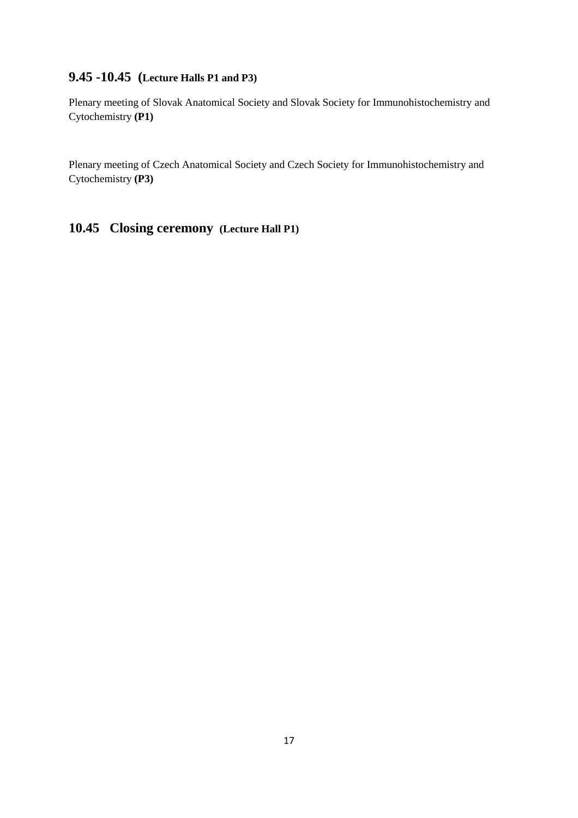# **9.45 -10.45 (Lecture Halls P1 and P3)**

Plenary meeting of Slovak Anatomical Society and Slovak Society for Immunohistochemistry and Cytochemistry **(P1)** 

Plenary meeting of Czech Anatomical Society and Czech Society for Immunohistochemistry and Cytochemistry **(P3)** 

# **10.45 Closing ceremony (Lecture Hall P1)**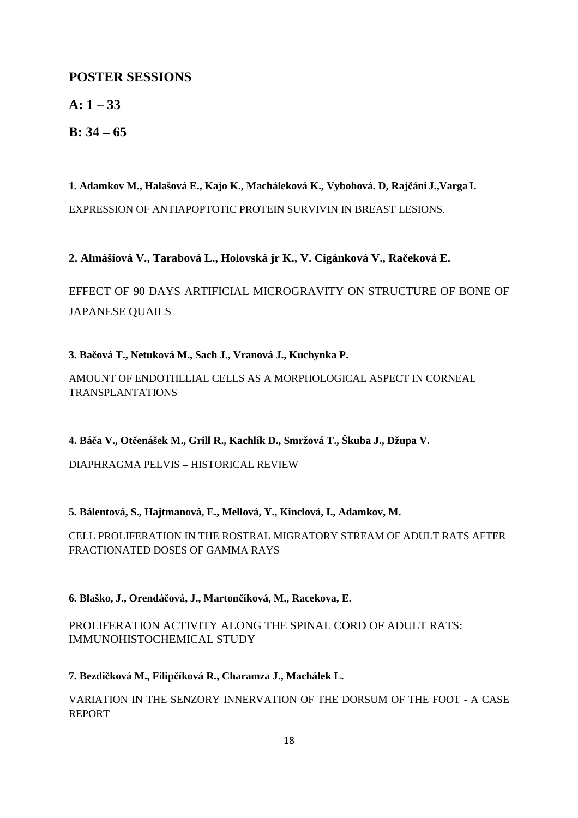# **POSTER SESSIONS**

**A: 1 – 33** 

**B: 34 – 65** 

**1. Adamkov M., Halašová E., Kajo K., Macháleková K., Vybohová. D, Rajčáni J.,Varga I.**  EXPRESSION OF ANTIAPOPTOTIC PROTEIN SURVIVIN IN BREAST LESIONS.

**2. Almášiová V., Tarabová L., Holovská jr K., V. Cigánková V., Račeková E.** 

EFFECT OF 90 DAYS ARTIFICIAL MICROGRAVITY ON STRUCTURE OF BONE OF JAPANESE QUAILS

**3. Bačová T., Netuková M., Sach J., Vranová J., Kuchynka P.** 

AMOUNT OF ENDOTHELIAL CELLS AS A MORPHOLOGICAL ASPECT IN CORNEAL TRANSPLANTATIONS

**4. Báča V., Otčenášek M., Grill R., Kachlík D., Smržová T., Škuba J., Džupa V.** 

DIAPHRAGMA PELVIS – HISTORICAL REVIEW

**5. Bálentová, S., Hajtmanová, E., Mellová, Y., Kinclová, I., Adamkov, M.** 

CELL PROLIFERATION IN THE ROSTRAL MIGRATORY STREAM OF ADULT RATS AFTER FRACTIONATED DOSES OF GAMMA RAYS

**6. Blaško, J., Orendáčová, J., Martončíková, M., Racekova, E.** 

PROLIFERATION ACTIVITY ALONG THE SPINAL CORD OF ADULT RATS: IMMUNOHISTOCHEMICAL STUDY

**7. Bezdičková M., Filipčíková R., Charamza J., Machálek L.** 

VARIATION IN THE SENZORY INNERVATION OF THE DORSUM OF THE FOOT - A CASE REPORT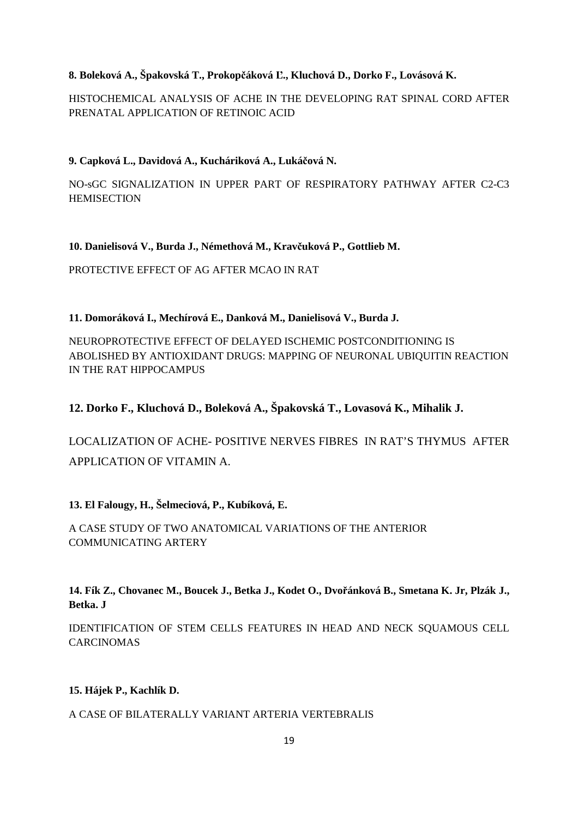## **8. Boleková A., Špakovská T., Prokopčáková Ľ., Kluchová D., Dorko F., Lovásová K.**

HISTOCHEMICAL ANALYSIS OF ACHE IN THE DEVELOPING RAT SPINAL CORD AFTER PRENATAL APPLICATION OF RETINOIC ACID

## **9. Capková L., Davidová A., Kucháriková A., Lukáčová N.**

NO-sGC SIGNALIZATION IN UPPER PART OF RESPIRATORY PATHWAY AFTER C2-C3 **HEMISECTION** 

**10. Danielisová V., Burda J., Némethová M., Kravčuková P., Gottlieb M.** 

PROTECTIVE EFFECT OF AG AFTER MCAO IN RAT

## **11. Domoráková I., Mechírová E., Danková M., Danielisová V., Burda J.**

NEUROPROTECTIVE EFFECT OF DELAYED ISCHEMIC POSTCONDITIONING IS ABOLISHED BY ANTIOXIDANT DRUGS: MAPPING OF NEURONAL UBIQUITIN REACTION IN THE RAT HIPPOCAMPUS

# **12. Dorko F., Kluchová D., Boleková A., Špakovská T., Lovasová K., Mihalik J.**

LOCALIZATION OF ACHE- POSITIVE NERVES FIBRES IN RAT'S THYMUS AFTER APPLICATION OF VITAMIN A.

## **13. El Falougy, H., Šelmeciová, P., Kubíková, E.**

A CASE STUDY OF TWO ANATOMICAL VARIATIONS OF THE ANTERIOR COMMUNICATING ARTERY

**14. Fík Z., Chovanec M., Boucek J., Betka J., Kodet O., Dvořánková B., Smetana K. Jr, Plzák J., Betka. J** 

IDENTIFICATION OF STEM CELLS FEATURES IN HEAD AND NECK SQUAMOUS CELL CARCINOMAS

## **15. Hájek P., Kachlík D.**

## A CASE OF BILATERALLY VARIANT ARTERIA VERTEBRALIS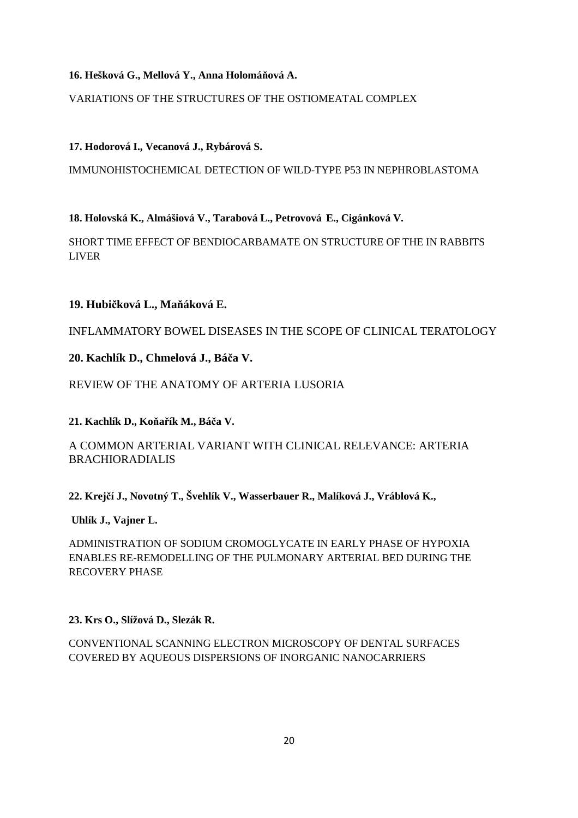## **16. Hešková G., Mellová Y., Anna Holomáňová A.**

VARIATIONS OF THE STRUCTURES OF THE OSTIOMEATAL COMPLEX

# **17. Hodorová I., Vecanová J., Rybárová S.**

IMMUNOHISTOCHEMICAL DETECTION OF WILD-TYPE P53 IN NEPHROBLASTOMA

# **18. Holovská K., Almášiová V., Tarabová L., Petrovová E., Cigánková V.**

SHORT TIME EFFECT OF BENDIOCARBAMATE ON STRUCTURE OF THE IN RABBITS LIVER

# **19. Hubičková L., Maňáková E.**

INFLAMMATORY BOWEL DISEASES IN THE SCOPE OF CLINICAL TERATOLOGY

# **20. Kachlík D., Chmelová J., Báča V.**

# REVIEW OF THE ANATOMY OF ARTERIA LUSORIA

**21. Kachlík D., Koňařík M., Báča V.** 

# A COMMON ARTERIAL VARIANT WITH CLINICAL RELEVANCE: ARTERIA BRACHIORADIALIS

**22. Krejčí J., Novotný T., Švehlík V., Wasserbauer R., Malíková J., Vráblová K.,**

## **Uhlík J., Vajner L.**

ADMINISTRATION OF SODIUM CROMOGLYCATE IN EARLY PHASE OF HYPOXIA ENABLES RE-REMODELLING OF THE PULMONARY ARTERIAL BED DURING THE RECOVERY PHASE

## **23. Krs O., Slížová D., Slezák R.**

CONVENTIONAL SCANNING ELECTRON MICROSCOPY OF DENTAL SURFACES COVERED BY AQUEOUS DISPERSIONS OF INORGANIC NANOCARRIERS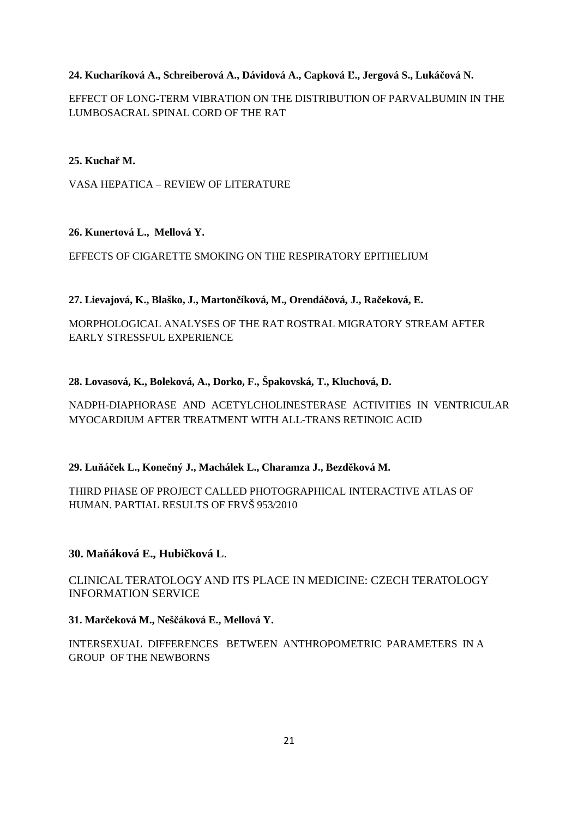# **24. Kucharíková A., Schreiberová A., Dávidová A., Capková Ľ., Jergová S., Lukáčová N.**

EFFECT OF LONG-TERM VIBRATION ON THE DISTRIBUTION OF PARVALBUMIN IN THE LUMBOSACRAL SPINAL CORD OF THE RAT

## **25. Kuchař M.**

VASA HEPATICA – REVIEW OF LITERATURE

## **26. Kunertová L., Mellová Y.**

EFFECTS OF CIGARETTE SMOKING ON THE RESPIRATORY EPITHELIUM

## **27. Lievajová, K., Blaško, J., Martončíková, M., Orendáčová, J., Račeková, E.**

MORPHOLOGICAL ANALYSES OF THE RAT ROSTRAL MIGRATORY STREAM AFTER EARLY STRESSFUL EXPERIENCE

# **28. Lovasová, K., Boleková, A., Dorko, F., Špakovská, T., Kluchová, D.**

NADPH-DIAPHORASE AND ACETYLCHOLINESTERASE ACTIVITIES IN VENTRICULAR MYOCARDIUM AFTER TREATMENT WITH ALL-TRANS RETINOIC ACID

## **29. Luňáček L., Konečný J., Machálek L., Charamza J., Bezděková M.**

THIRD PHASE OF PROJECT CALLED PHOTOGRAPHICAL INTERACTIVE ATLAS OF HUMAN. PARTIAL RESULTS OF FRVŠ 953/2010

## **30. Maňáková E., Hubičková L**.

CLINICAL TERATOLOGY AND ITS PLACE IN MEDICINE: CZECH TERATOLOGY INFORMATION SERVICE

**31. Marčeková M., Neščáková E., Mellová Y.** 

INTERSEXUAL DIFFERENCES BETWEEN ANTHROPOMETRIC PARAMETERS IN A GROUP OF THE NEWBORNS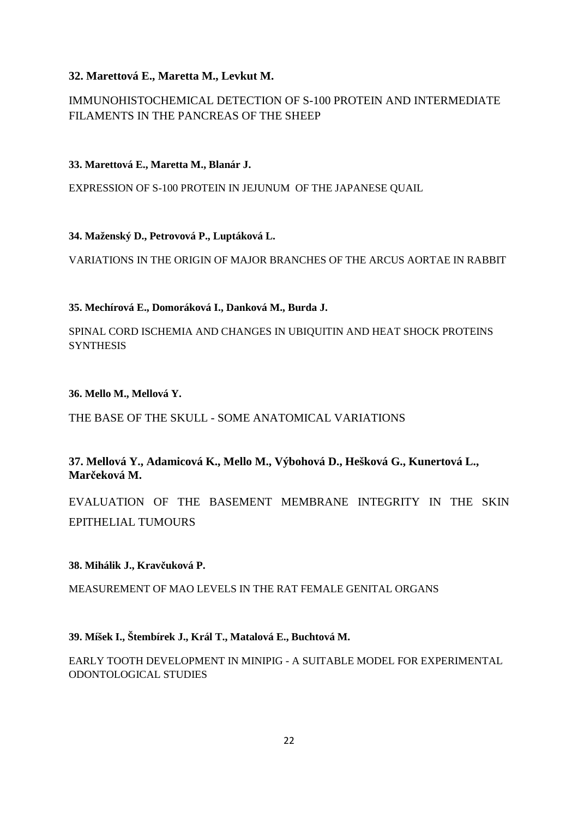# **32. Marettová E., Maretta M., Levkut M.**

# IMMUNOHISTOCHEMICAL DETECTION OF S-100 PROTEIN AND INTERMEDIATE FILAMENTS IN THE PANCREAS OF THE SHEEP

# **33. Marettová E., Maretta M., Blanár J.**

EXPRESSION OF S-100 PROTEIN IN JEJUNUM OF THE JAPANESE QUAIL

# **34. Maženský D., Petrovová P., Luptáková L.**

VARIATIONS IN THE ORIGIN OF MAJOR BRANCHES OF THE ARCUS AORTAE IN RABBIT

# **35. Mechírová E., Domoráková I., Danková M., Burda J.**

SPINAL CORD ISCHEMIA AND CHANGES IN UBIQUITIN AND HEAT SHOCK PROTEINS **SYNTHESIS** 

## **36. Mello M., Mellová Y.**

# THE BASE OF THE SKULL - SOME ANATOMICAL VARIATIONS

# **37. Mellová Y., Adamicová K., Mello M., Výbohová D., Hešková G., Kunertová L., Marčeková M.**

EVALUATION OF THE BASEMENT MEMBRANE INTEGRITY IN THE SKIN EPITHELIAL TUMOURS

## **38. Mihálik J., Kravčuková P.**

MEASUREMENT OF MAO LEVELS IN THE RAT FEMALE GENITAL ORGANS

**39. Míšek I., Štembírek J., Král T., Matalová E., Buchtová M.**

EARLY TOOTH DEVELOPMENT IN MINIPIG - A SUITABLE MODEL FOR EXPERIMENTAL ODONTOLOGICAL STUDIES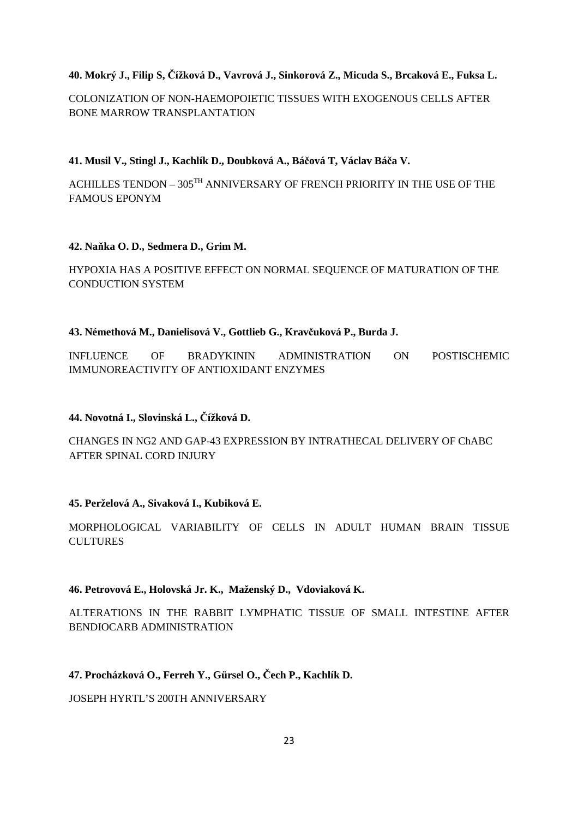## **40. Mokrý J., Filip S, Čížková D., Vavrová J., Sinkorová Z., Micuda S., Brcaková E., Fuksa L.**

COLONIZATION OF NON-HAEMOPOIETIC TISSUES WITH EXOGENOUS CELLS AFTER BONE MARROW TRANSPLANTATION

**41. Musil V., Stingl J., Kachlík D., Doubková A., Báčová T, Václav Báča V.** 

ACHILLES TENDON –  $305^{\text{TH}}$  ANNIVERSARY OF FRENCH PRIORITY IN THE USE OF THE FAMOUS EPONYM

## **42. Naňka O. D., Sedmera D., Grim M.**

HYPOXIA HAS A POSITIVE EFFECT ON NORMAL SEQUENCE OF MATURATION OF THE CONDUCTION SYSTEM

### **43. Némethová M., Danielisová V., Gottlieb G., Kravčuková P., Burda J.**

INFLUENCE OF BRADYKININ ADMINISTRATION ON POSTISCHEMIC IMMUNOREACTIVITY OF ANTIOXIDANT ENZYMES

## **44. Novotná I., Slovinská L., Čížková D.**

CHANGES IN NG2 AND GAP-43 EXPRESSION BY INTRATHECAL DELIVERY OF ChABC AFTER SPINAL CORD INJURY

## **45. Perželová A., Sivaková I., Kubiková E.**

MORPHOLOGICAL VARIABILITY OF CELLS IN ADULT HUMAN BRAIN TISSUE **CULTURES** 

## **46. Petrovová E., Holovská Jr. K., Maženský D., Vdoviaková K.**

ALTERATIONS IN THE RABBIT LYMPHATIC TISSUE OF SMALL INTESTINE AFTER BENDIOCARB ADMINISTRATION

## **47. Procházková O., Ferreh Y., Gürsel O., Čech P., Kachlík D.**

JOSEPH HYRTL'S 200TH ANNIVERSARY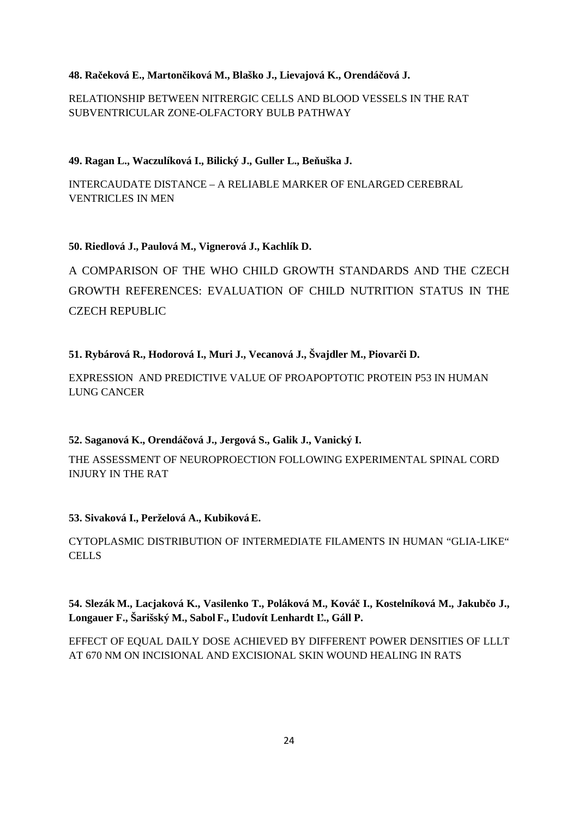## **48. Račeková E., Martončiková M., Blaško J., Lievajová K., Orendáčová J.**

RELATIONSHIP BETWEEN NITRERGIC CELLS AND BLOOD VESSELS IN THE RAT SUBVENTRICULAR ZONE-OLFACTORY BULB PATHWAY

## **49. Ragan L., Waczulíková I., Bilický J., Guller L., Beňuška J.**

INTERCAUDATE DISTANCE – A RELIABLE MARKER OF ENLARGED CEREBRAL VENTRICLES IN MEN

## **50. Riedlová J., Paulová M., Vignerová J., Kachlík D.**

A COMPARISON OF THE WHO CHILD GROWTH STANDARDS AND THE CZECH GROWTH REFERENCES: EVALUATION OF CHILD NUTRITION STATUS IN THE CZECH REPUBLIC

## **51. Rybárová R., Hodorová I., Muri J., Vecanová J., Švajdler M., Piovarči D.**

EXPRESSION AND PREDICTIVE VALUE OF PROAPOPTOTIC PROTEIN P53 IN HUMAN LUNG CANCER

## **52. Saganová K., Orendáčová J., Jergová S., Galik J., Vanický I.**

THE ASSESSMENT OF NEUROPROECTION FOLLOWING EXPERIMENTAL SPINAL CORD INJURY IN THE RAT

## **53. Sivaková I., Perželová A., KubikováE.**

CYTOPLASMIC DISTRIBUTION OF INTERMEDIATE FILAMENTS IN HUMAN "GLIA-LIKE" **CELLS** 

**54. Slezák M., Lacjaková K., Vasilenko T., Poláková M., Kováč I., Kostelníková M., Jakubčo J., Longauer F., Šarišský M., Sabol F., Ľudovít Lenhardt Ľ., Gáll P.** 

EFFECT OF EQUAL DAILY DOSE ACHIEVED BY DIFFERENT POWER DENSITIES OF LLLT AT 670 NM ON INCISIONAL AND EXCISIONAL SKIN WOUND HEALING IN RATS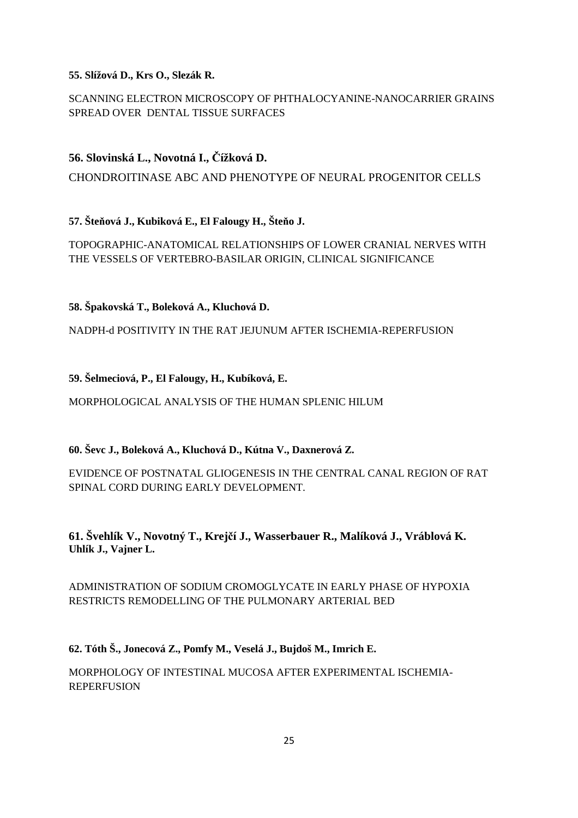## **55. Slížová D., Krs O., Slezák R.**

# SCANNING ELECTRON MICROSCOPY OF PHTHALOCYANINE-NANOCARRIER GRAINS SPREAD OVER DENTAL TISSUE SURFACES

# **56. Slovinská L., Novotná I., Čížková D.**

CHONDROITINASE ABC AND PHENOTYPE OF NEURAL PROGENITOR CELLS

**57. Šteňová J., Kubiková E., El Falougy H., Šteňo J.** 

TOPOGRAPHIC-ANATOMICAL RELATIONSHIPS OF LOWER CRANIAL NERVES WITH THE VESSELS OF VERTEBRO-BASILAR ORIGIN, CLINICAL SIGNIFICANCE

**58. Špakovská T., Boleková A., Kluchová D.** 

NADPH-d POSITIVITY IN THE RAT JEJUNUM AFTER ISCHEMIA-REPERFUSION

**59. Šelmeciová, P., El Falougy, H., Kubíková, E.** 

MORPHOLOGICAL ANALYSIS OF THE HUMAN SPLENIC HILUM

**60. Ševc J., Boleková A., Kluchová D., Kútna V., Daxnerová Z.** 

EVIDENCE OF POSTNATAL GLIOGENESIS IN THE CENTRAL CANAL REGION OF RAT SPINAL CORD DURING EARLY DEVELOPMENT.

**61. Švehlík V., Novotný T., Krejčí J., Wasserbauer R., Malíková J., Vráblová K. Uhlík J., Vajner L.** 

ADMINISTRATION OF SODIUM CROMOGLYCATE IN EARLY PHASE OF HYPOXIA RESTRICTS REMODELLING OF THE PULMONARY ARTERIAL BED

**62. Tóth Š., Jonecová Z., Pomfy M., Veselá J., Bujdoš M., Imrich E.** 

MORPHOLOGY OF INTESTINAL MUCOSA AFTER EXPERIMENTAL ISCHEMIA-REPERFUSION